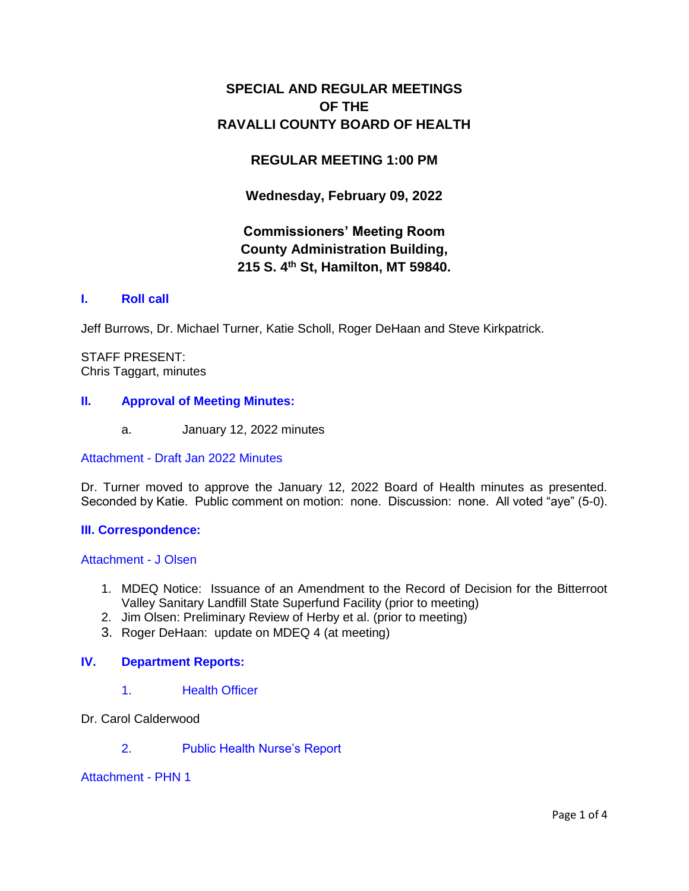# **SPECIAL AND REGULAR MEETINGS OF THE RAVALLI COUNTY BOARD OF HEALTH**

## **REGULAR MEETING 1:00 PM**

**Wednesday, February 09, 2022**

# **Commissioners' Meeting Room County Administration Building, 215 S. 4th St, Hamilton, MT 59840.**

## **I. [Roll call](http://ravalli-mt.granicus.com/wordlinkreceiver.php?clip_id=77c50dec-dbe9-49a9-8b52-be80f58e4724&meta_id=f7022063-f26c-4d65-9c12-7262493f6e73&time=4)**

Jeff Burrows, Dr. Michael Turner, Katie Scholl, Roger DeHaan and Steve Kirkpatrick.

STAFF PRESENT: Chris Taggart, minutes

## **II. [Approval of Meeting Minutes:](http://ravalli-mt.granicus.com/wordlinkreceiver.php?clip_id=77c50dec-dbe9-49a9-8b52-be80f58e4724&meta_id=022fea9a-ac9c-48cc-a935-75dbdb48352c&time=48)**

a. January 12, 2022 minutes

Attachment - [Draft Jan 2022 Minutes](http://ravalli-mt.granicus.com/DocumentViewer.php?file=ravalli-mt_c6508719e068bac05fd5a1ec8890a2fa.pdf)

Dr. Turner moved to approve the January 12, 2022 Board of Health minutes as presented. Seconded by Katie. Public comment on motion: none. Discussion: none. All voted "aye" (5-0).

### **[III. Correspondence:](http://ravalli-mt.granicus.com/wordlinkreceiver.php?clip_id=77c50dec-dbe9-49a9-8b52-be80f58e4724&meta_id=62046275-d515-4f37-a467-df84fb3fa1bb&time=105)**

### [Attachment -](http://ravalli-mt.granicus.com/DocumentViewer.php?file=ravalli-mt_15647ab13baa22abd0d4fa316bdf2932.pdf) J Olsen

- 1. MDEQ Notice: Issuance of an Amendment to the Record of Decision for the Bitterroot Valley Sanitary Landfill State Superfund Facility (prior to meeting)
- 2. Jim Olsen: Preliminary Review of Herby et al. (prior to meeting)
- 3. Roger DeHaan: update on MDEQ 4 (at meeting)

## **IV. [Department Reports:](http://ravalli-mt.granicus.com/wordlinkreceiver.php?clip_id=77c50dec-dbe9-49a9-8b52-be80f58e4724&meta_id=55b52e79-fe72-4058-889a-7b49ddb4a129&time=203)**

1. [Health Officer](http://ravalli-mt.granicus.com/wordlinkreceiver.php?clip_id=77c50dec-dbe9-49a9-8b52-be80f58e4724&meta_id=974fb165-c205-4be5-a2a0-e85aff04cf2f&time=204)

Dr. Carol Calderwood

2. [Public Health Nurse's Report](http://ravalli-mt.granicus.com/wordlinkreceiver.php?clip_id=77c50dec-dbe9-49a9-8b52-be80f58e4724&meta_id=824b6b60-2fad-455a-a836-e190ce213d8d&time=348)

### [Attachment -](http://ravalli-mt.granicus.com/DocumentViewer.php?file=ravalli-mt_7ff3abf714446186ade2315557026e1e.pdf) PHN 1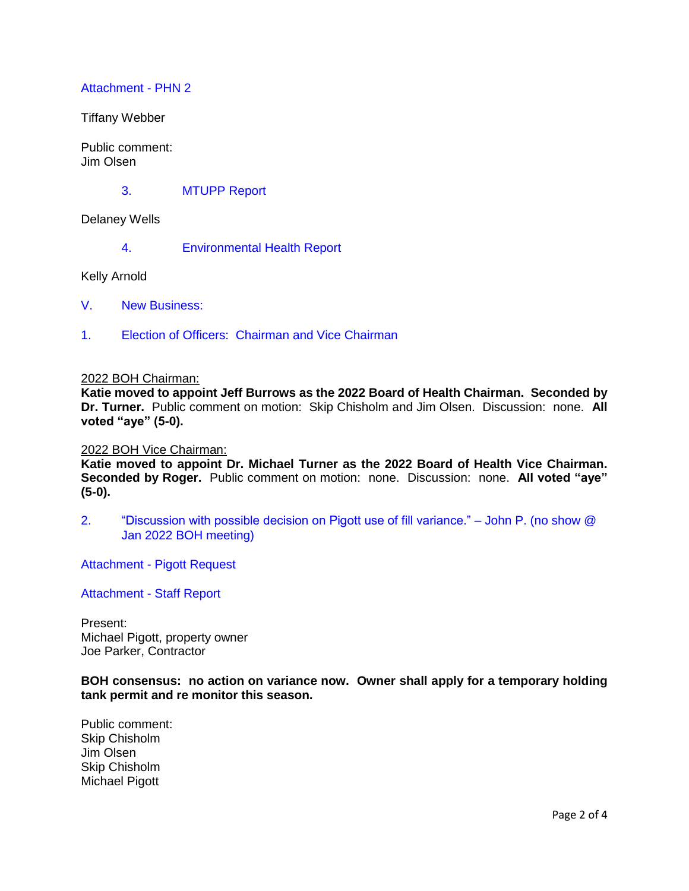## [Attachment -](http://ravalli-mt.granicus.com/DocumentViewer.php?file=ravalli-mt_6e50085fc221bdc31f74b30ab5ea4faf.pdf) PHN 2

Tiffany Webber

Public comment: Jim Olsen

### 3. [MTUPP Report](http://ravalli-mt.granicus.com/wordlinkreceiver.php?clip_id=77c50dec-dbe9-49a9-8b52-be80f58e4724&meta_id=fff711f1-6bff-4978-bdb8-c9bacec41c04&time=1050)

Delaney Wells

4. [Environmental Health Report](http://ravalli-mt.granicus.com/wordlinkreceiver.php?clip_id=77c50dec-dbe9-49a9-8b52-be80f58e4724&meta_id=77caf66f-da9d-4482-b314-33382331a820&time=1511)

Kelly Arnold

- V. [New Business:](http://ravalli-mt.granicus.com/wordlinkreceiver.php?clip_id=77c50dec-dbe9-49a9-8b52-be80f58e4724&meta_id=db31ad67-605a-491b-88e3-18e1df5496af&time=1729)
- 1. [Election of Officers: Chairman and Vice Chairman](http://ravalli-mt.granicus.com/wordlinkreceiver.php?clip_id=77c50dec-dbe9-49a9-8b52-be80f58e4724&meta_id=74460c24-5cdc-417b-a607-4e477fe49aef&time=1730)

#### 2022 BOH Chairman:

**Katie moved to appoint Jeff Burrows as the 2022 Board of Health Chairman. Seconded by Dr. Turner.** Public comment on motion: Skip Chisholm and Jim Olsen. Discussion: none. **All voted "aye" (5-0).**

## 2022 BOH Vice Chairman:

**Katie moved to appoint Dr. Michael Turner as the 2022 Board of Health Vice Chairman. Seconded by Roger.** Public comment on motion: none. Discussion: none. **All voted "aye" (5-0).**

2. ["Discussion with possible decision on Pigott use of fill variance." –](http://ravalli-mt.granicus.com/wordlinkreceiver.php?clip_id=77c50dec-dbe9-49a9-8b52-be80f58e4724&meta_id=13ecdd19-204f-4b9c-9865-6326691758d5&time=1765) John P. (no show @ [Jan 2022 BOH meeting\)](http://ravalli-mt.granicus.com/wordlinkreceiver.php?clip_id=77c50dec-dbe9-49a9-8b52-be80f58e4724&meta_id=13ecdd19-204f-4b9c-9865-6326691758d5&time=1765)

Attachment - [Pigott Request](http://ravalli-mt.granicus.com/DocumentViewer.php?file=ravalli-mt_8f8b82cd781c1f45f21af328bfdb8e90.pdf)

[Attachment -](http://ravalli-mt.granicus.com/DocumentViewer.php?file=ravalli-mt_047fa88b5edf588d8cba631593cfdcc1.pdf) Staff Report

Present: Michael Pigott, property owner Joe Parker, Contractor

**BOH consensus: no action on variance now. Owner shall apply for a temporary holding tank permit and re monitor this season.**

Public comment: Skip Chisholm Jim Olsen Skip Chisholm Michael Pigott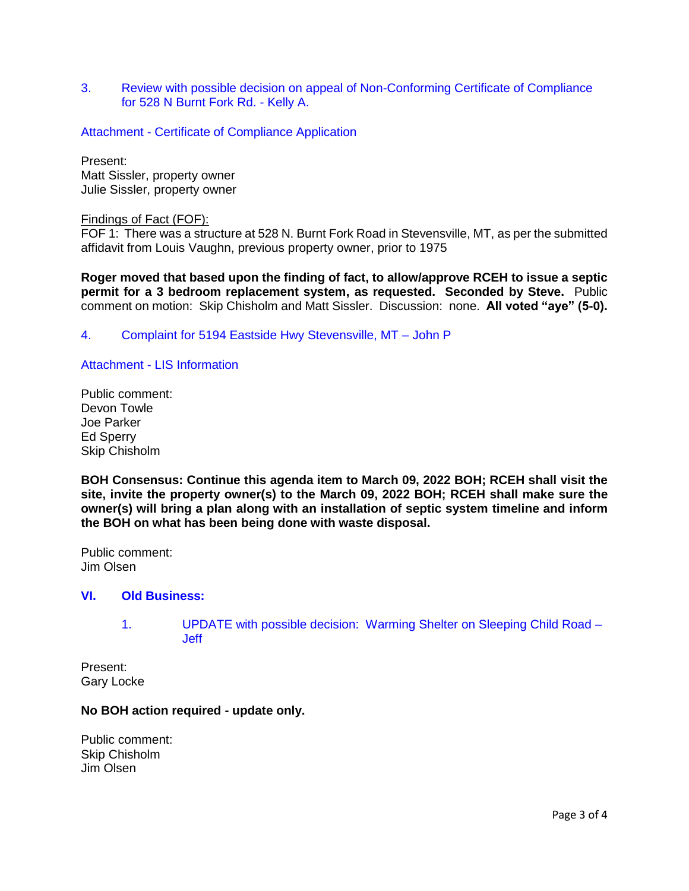3. [Review with possible decision on appeal of Non-Conforming Certificate of Compliance](http://ravalli-mt.granicus.com/wordlinkreceiver.php?clip_id=77c50dec-dbe9-49a9-8b52-be80f58e4724&meta_id=bc17f306-ff48-49a6-9802-bcab125c7512&time=4071)  [for 528 N Burnt Fork Rd. -](http://ravalli-mt.granicus.com/wordlinkreceiver.php?clip_id=77c50dec-dbe9-49a9-8b52-be80f58e4724&meta_id=bc17f306-ff48-49a6-9802-bcab125c7512&time=4071) Kelly A.

Attachment - [Certificate of Compliance Application](http://ravalli-mt.granicus.com/DocumentViewer.php?file=ravalli-mt_3fb0debfdc3074f52ab2ed2bbe991dee.pdf)

Present: Matt Sissler, property owner Julie Sissler, property owner

#### Findings of Fact (FOF):

FOF 1: There was a structure at 528 N. Burnt Fork Road in Stevensville, MT, as per the submitted affidavit from Louis Vaughn, previous property owner, prior to 1975

**Roger moved that based upon the finding of fact, to allow/approve RCEH to issue a septic permit for a 3 bedroom replacement system, as requested. Seconded by Steve.** Public comment on motion: Skip Chisholm and Matt Sissler. Discussion: none. **All voted "aye" (5-0).**

4. [Complaint for 5194 Eastside Hwy Stevensville, MT –](http://ravalli-mt.granicus.com/wordlinkreceiver.php?clip_id=77c50dec-dbe9-49a9-8b52-be80f58e4724&meta_id=51217f13-40c9-4b7f-a286-de5f6a8332de&time=4852) John P

#### Attachment - [LIS Information](http://ravalli-mt.granicus.com/DocumentViewer.php?file=ravalli-mt_de3e776bec1e49172e7abb9ab6b03599.pdf)

Public comment: Devon Towle Joe Parker Ed Sperry Skip Chisholm

**BOH Consensus: Continue this agenda item to March 09, 2022 BOH; RCEH shall visit the site, invite the property owner(s) to the March 09, 2022 BOH; RCEH shall make sure the owner(s) will bring a plan along with an installation of septic system timeline and inform the BOH on what has been being done with waste disposal.**

Public comment: Jim Olsen

### **VI. [Old Business:](http://ravalli-mt.granicus.com/wordlinkreceiver.php?clip_id=77c50dec-dbe9-49a9-8b52-be80f58e4724&meta_id=605b8b9b-bf04-40be-92d9-e465236fdc6b&time=5965)**

1. [UPDATE with possible decision: Warming Shelter on Sleeping Child Road –](http://ravalli-mt.granicus.com/wordlinkreceiver.php?clip_id=77c50dec-dbe9-49a9-8b52-be80f58e4724&meta_id=fe7c9595-9046-4b7f-9914-927b696d6916&time=5966) [Jeff](http://ravalli-mt.granicus.com/wordlinkreceiver.php?clip_id=77c50dec-dbe9-49a9-8b52-be80f58e4724&meta_id=fe7c9595-9046-4b7f-9914-927b696d6916&time=5966)

Present: Gary Locke

#### **No BOH action required - update only.**

Public comment: Skip Chisholm Jim Olsen